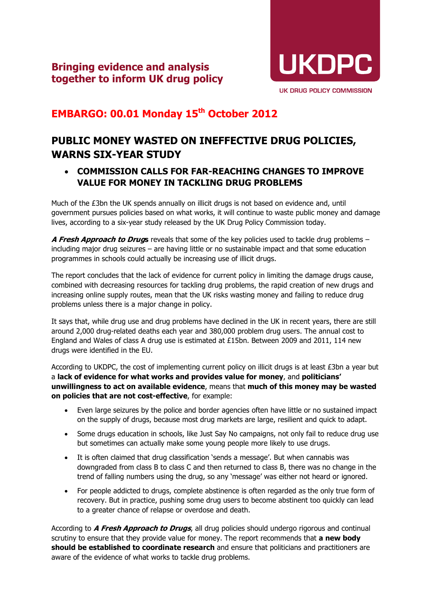

## **EMBARGO: 00.01 Monday 15th October 2012**

## **PUBLIC MONEY WASTED ON INEFFECTIVE DRUG POLICIES, WARNS SIX-YEAR STUDY**

## • **COMMISSION CALLS FOR FAR-REACHING CHANGES TO IMPROVE VALUE FOR MONEY IN TACKLING DRUG PROBLEMS**

Much of the £3bn the UK spends annually on illicit drugs is not based on evidence and, until government pursues policies based on what works, it will continue to waste public money and damage lives, according to a six-year study released by the UK Drug Policy Commission today.

**A Fresh Approach to Drugs** reveals that some of the key policies used to tackle drug problems – including major drug seizures – are having little or no sustainable impact and that some education programmes in schools could actually be increasing use of illicit drugs.

The report concludes that the lack of evidence for current policy in limiting the damage drugs cause, combined with decreasing resources for tackling drug problems, the rapid creation of new drugs and increasing online supply routes, mean that the UK risks wasting money and failing to reduce drug problems unless there is a major change in policy.

It says that, while drug use and drug problems have declined in the UK in recent years, there are still around 2,000 drug-related deaths each year and 380,000 problem drug users. The annual cost to England and Wales of class A drug use is estimated at £15bn. Between 2009 and 2011, 114 new drugs were identified in the EU.

According to UKDPC, the cost of implementing current policy on illicit drugs is at least £3bn a year but a **lack of evidence for what works and provides value for money**, and **politicians' unwillingness to act on available evidence**, means that **much of this money may be wasted on policies that are not cost-effective**, for example:

- Even large seizures by the police and border agencies often have little or no sustained impact on the supply of drugs, because most drug markets are large, resilient and quick to adapt.
- Some drugs education in schools, like Just Say No campaigns, not only fail to reduce drug use but sometimes can actually make some young people more likely to use drugs.
- It is often claimed that drug classification 'sends a message'. But when cannabis was downgraded from class B to class C and then returned to class B, there was no change in the trend of falling numbers using the drug, so any 'message' was either not heard or ignored.
- For people addicted to drugs, complete abstinence is often regarded as the only true form of recovery. But in practice, pushing some drug users to become abstinent too quickly can lead to a greater chance of relapse or overdose and death.

According to **A Fresh Approach to Drugs**, all drug policies should undergo rigorous and continual scrutiny to ensure that they provide value for money. The report recommends that **a new body should be established to coordinate research** and ensure that politicians and practitioners are aware of the evidence of what works to tackle drug problems.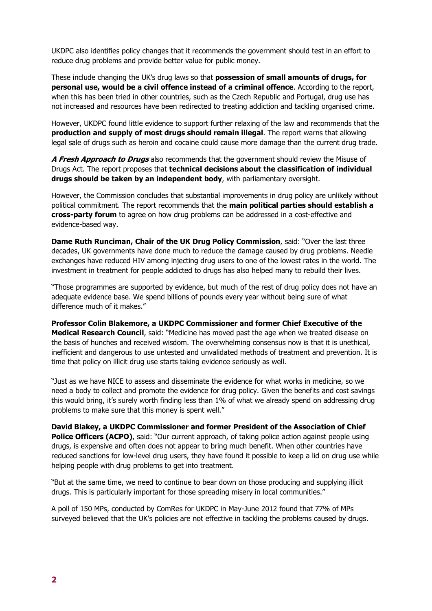UKDPC also identifies policy changes that it recommends the government should test in an effort to reduce drug problems and provide better value for public money.

These include changing the UK's drug laws so that **possession of small amounts of drugs, for personal use, would be a civil offence instead of a criminal offence**. According to the report, when this has been tried in other countries, such as the Czech Republic and Portugal, drug use has not increased and resources have been redirected to treating addiction and tackling organised crime.

However, UKDPC found little evidence to support further relaxing of the law and recommends that the **production and supply of most drugs should remain illegal**. The report warns that allowing legal sale of drugs such as heroin and cocaine could cause more damage than the current drug trade.

**A Fresh Approach to Drugs** also recommends that the government should review the Misuse of Drugs Act. The report proposes that **technical decisions about the classification of individual drugs should be taken by an independent body**, with parliamentary oversight.

However, the Commission concludes that substantial improvements in drug policy are unlikely without political commitment. The report recommends that the **main political parties should establish a cross-party forum** to agree on how drug problems can be addressed in a cost-effective and evidence-based way.

**Dame Ruth Runciman, Chair of the UK Drug Policy Commission**, said: "Over the last three decades, UK governments have done much to reduce the damage caused by drug problems. Needle exchanges have reduced HIV among injecting drug users to one of the lowest rates in the world. The investment in treatment for people addicted to drugs has also helped many to rebuild their lives.

"Those programmes are supported by evidence, but much of the rest of drug policy does not have an adequate evidence base. We spend billions of pounds every year without being sure of what difference much of it makes."

**Professor Colin Blakemore, a UKDPC Commissioner and former Chief Executive of the Medical Research Council**, said: "Medicine has moved past the age when we treated disease on the basis of hunches and received wisdom. The overwhelming consensus now is that it is unethical, inefficient and dangerous to use untested and unvalidated methods of treatment and prevention. It is time that policy on illicit drug use starts taking evidence seriously as well.

"Just as we have NICE to assess and disseminate the evidence for what works in medicine, so we need a body to collect and promote the evidence for drug policy. Given the benefits and cost savings this would bring, it's surely worth finding less than 1% of what we already spend on addressing drug problems to make sure that this money is spent well."

**David Blakey, a UKDPC Commissioner and former President of the Association of Chief Police Officers (ACPO)**, said: "Our current approach, of taking police action against people using drugs, is expensive and often does not appear to bring much benefit. When other countries have reduced sanctions for low-level drug users, they have found it possible to keep a lid on drug use while helping people with drug problems to get into treatment.

"But at the same time, we need to continue to bear down on those producing and supplying illicit drugs. This is particularly important for those spreading misery in local communities."

A poll of 150 MPs, conducted by ComRes for UKDPC in May-June 2012 found that 77% of MPs surveyed believed that the UK's policies are not effective in tackling the problems caused by drugs.